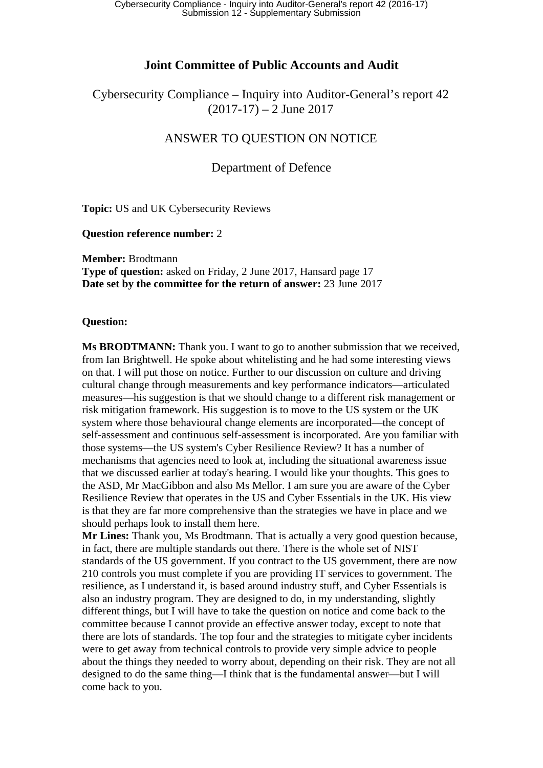# **Joint Committee of Public Accounts and Audit**

Cybersecurity Compliance – Inquiry into Auditor-General's report 42  $(2017-17) - 2$  June 2017

# ANSWER TO QUESTION ON NOTICE

# Department of Defence

**Topic:** US and UK Cybersecurity Reviews

#### **Question reference number:** 2

**Member:** Brodtmann **Type of question:** asked on Friday, 2 June 2017, Hansard page 17 **Date set by the committee for the return of answer:** 23 June 2017

### **Question:**

**Ms BRODTMANN:** Thank you. I want to go to another submission that we received, from Ian Brightwell. He spoke about whitelisting and he had some interesting views on that. I will put those on notice. Further to our discussion on culture and driving cultural change through measurements and key performance indicators—articulated measures—his suggestion is that we should change to a different risk management or risk mitigation framework. His suggestion is to move to the US system or the UK system where those behavioural change elements are incorporated—the concept of self-assessment and continuous self-assessment is incorporated. Are you familiar with those systems—the US system's Cyber Resilience Review? It has a number of mechanisms that agencies need to look at, including the situational awareness issue that we discussed earlier at today's hearing. I would like your thoughts. This goes to the ASD, Mr MacGibbon and also Ms Mellor. I am sure you are aware of the Cyber Resilience Review that operates in the US and Cyber Essentials in the UK. His view is that they are far more comprehensive than the strategies we have in place and we should perhaps look to install them here.

**Mr Lines:** Thank you, Ms Brodtmann. That is actually a very good question because, in fact, there are multiple standards out there. There is the whole set of NIST standards of the US government. If you contract to the US government, there are now 210 controls you must complete if you are providing IT services to government. The resilience, as I understand it, is based around industry stuff, and Cyber Essentials is also an industry program. They are designed to do, in my understanding, slightly different things, but I will have to take the question on notice and come back to the committee because I cannot provide an effective answer today, except to note that there are lots of standards. The top four and the strategies to mitigate cyber incidents were to get away from technical controls to provide very simple advice to people about the things they needed to worry about, depending on their risk. They are not all designed to do the same thing—I think that is the fundamental answer—but I will come back to you.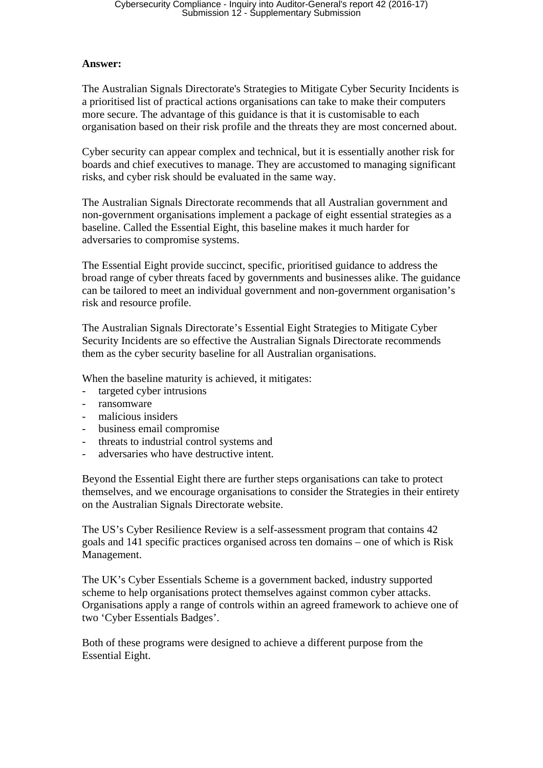### **Answer:**

The Australian Signals Directorate's Strategies to Mitigate Cyber Security Incidents is a prioritised list of practical actions organisations can take to make their computers more secure. The advantage of this guidance is that it is customisable to each organisation based on their risk profile and the threats they are most concerned about.

Cyber security can appear complex and technical, but it is essentially another risk for boards and chief executives to manage. They are accustomed to managing significant risks, and cyber risk should be evaluated in the same way.

The Australian Signals Directorate recommends that all Australian government and non-government organisations implement a package of eight essential strategies as a baseline. Called the Essential Eight, this baseline makes it much harder for adversaries to compromise systems.

The Essential Eight provide succinct, specific, prioritised guidance to address the broad range of cyber threats faced by governments and businesses alike. The guidance can be tailored to meet an individual government and non-government organisation's risk and resource profile.

The Australian Signals Directorate's Essential Eight Strategies to Mitigate Cyber Security Incidents are so effective the Australian Signals Directorate recommends them as the cyber security baseline for all Australian organisations.

When the baseline maturity is achieved, it mitigates:

- targeted cyber intrusions
- ransomware
- malicious insiders
- business email compromise
- threats to industrial control systems and
- adversaries who have destructive intent.

Beyond the Essential Eight there are further steps organisations can take to protect themselves, and we encourage organisations to consider the Strategies in their entirety on the Australian Signals Directorate website.

The US's Cyber Resilience Review is a self-assessment program that contains 42 goals and 141 specific practices organised across ten domains – one of which is Risk Management.

The UK's Cyber Essentials Scheme is a government backed, industry supported scheme to help organisations protect themselves against common cyber attacks. Organisations apply a range of controls within an agreed framework to achieve one of two 'Cyber Essentials Badges'.

Both of these programs were designed to achieve a different purpose from the Essential Eight.